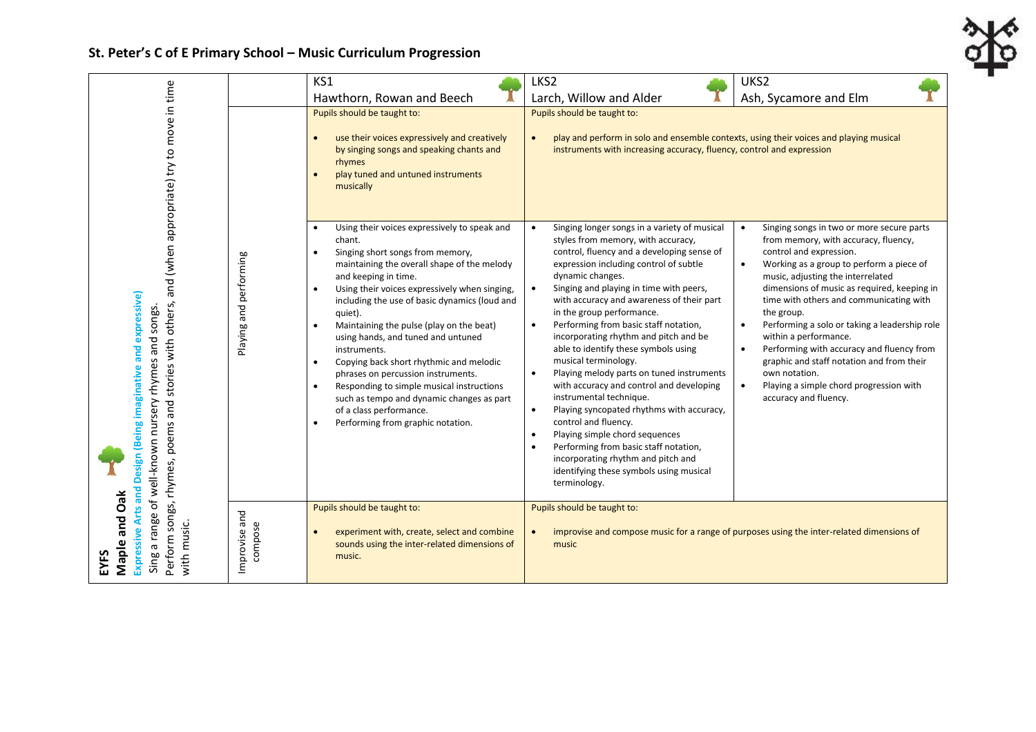## **St. Peter's C of E Primary School – Music Curriculum Progression**

|                                                                                                                                                                                                                                                                                         |                             | KS1                                                                                                                                                                                                                                                                                                                                                                                                                                                                                                                                                                                                                                                                                                                    | LKS2                                                                                                                                                                                                                                                                                                                                                                                                                                                                                                                                                                                                                                                                                                                                                                                                                                                                                                                                  | UKS <sub>2</sub>                                                                                                                                                                                                                                                                                                                                                                                                                                                                                                                                                                                                                |
|-----------------------------------------------------------------------------------------------------------------------------------------------------------------------------------------------------------------------------------------------------------------------------------------|-----------------------------|------------------------------------------------------------------------------------------------------------------------------------------------------------------------------------------------------------------------------------------------------------------------------------------------------------------------------------------------------------------------------------------------------------------------------------------------------------------------------------------------------------------------------------------------------------------------------------------------------------------------------------------------------------------------------------------------------------------------|---------------------------------------------------------------------------------------------------------------------------------------------------------------------------------------------------------------------------------------------------------------------------------------------------------------------------------------------------------------------------------------------------------------------------------------------------------------------------------------------------------------------------------------------------------------------------------------------------------------------------------------------------------------------------------------------------------------------------------------------------------------------------------------------------------------------------------------------------------------------------------------------------------------------------------------|---------------------------------------------------------------------------------------------------------------------------------------------------------------------------------------------------------------------------------------------------------------------------------------------------------------------------------------------------------------------------------------------------------------------------------------------------------------------------------------------------------------------------------------------------------------------------------------------------------------------------------|
|                                                                                                                                                                                                                                                                                         |                             | Hawthorn, Rowan and Beech                                                                                                                                                                                                                                                                                                                                                                                                                                                                                                                                                                                                                                                                                              | Larch, Willow and Alder                                                                                                                                                                                                                                                                                                                                                                                                                                                                                                                                                                                                                                                                                                                                                                                                                                                                                                               | Ash, Sycamore and Elm                                                                                                                                                                                                                                                                                                                                                                                                                                                                                                                                                                                                           |
| and (when appropriate) try to move in time<br>(Being imaginative and expressive)<br>others,<br>Sing a range of well-known nursery rhymes and songs.<br>stories with<br>Perform songs, rhymes, poems and<br>Design<br><b>Expressive Arts and</b><br>Maple and Oak<br>with music.<br>EYFS |                             | Pupils should be taught to:<br>use their voices expressively and creatively<br>$\bullet$<br>by singing songs and speaking chants and<br>rhymes<br>play tuned and untuned instruments<br>musically                                                                                                                                                                                                                                                                                                                                                                                                                                                                                                                      | Pupils should be taught to:<br>play and perform in solo and ensemble contexts, using their voices and playing musical<br>$\bullet$<br>instruments with increasing accuracy, fluency, control and expression                                                                                                                                                                                                                                                                                                                                                                                                                                                                                                                                                                                                                                                                                                                           |                                                                                                                                                                                                                                                                                                                                                                                                                                                                                                                                                                                                                                 |
|                                                                                                                                                                                                                                                                                         | performing<br>Playing and   | Using their voices expressively to speak and<br>$\bullet$<br>chant.<br>Singing short songs from memory,<br>$\bullet$<br>maintaining the overall shape of the melody<br>and keeping in time.<br>Using their voices expressively when singing,<br>$\bullet$<br>including the use of basic dynamics (loud and<br>quiet).<br>Maintaining the pulse (play on the beat)<br>$\bullet$<br>using hands, and tuned and untuned<br>instruments.<br>Copying back short rhythmic and melodic<br>$\bullet$<br>phrases on percussion instruments.<br>Responding to simple musical instructions<br>$\bullet$<br>such as tempo and dynamic changes as part<br>of a class performance.<br>Performing from graphic notation.<br>$\bullet$ | Singing longer songs in a variety of musical<br>$\bullet$<br>styles from memory, with accuracy,<br>control, fluency and a developing sense of<br>expression including control of subtle<br>dynamic changes.<br>$\bullet$<br>Singing and playing in time with peers,<br>with accuracy and awareness of their part<br>in the group performance.<br>Performing from basic staff notation,<br>$\bullet$<br>incorporating rhythm and pitch and be<br>able to identify these symbols using<br>musical terminology.<br>Playing melody parts on tuned instruments<br>$\bullet$<br>with accuracy and control and developing<br>instrumental technique.<br>Playing syncopated rhythms with accuracy,<br>$\bullet$<br>control and fluency.<br>Playing simple chord sequences<br>$\bullet$<br>Performing from basic staff notation,<br>$\bullet$<br>incorporating rhythm and pitch and<br>identifying these symbols using musical<br>terminology. | Singing songs in two or more secure parts<br>$\bullet$<br>from memory, with accuracy, fluency,<br>control and expression.<br>Working as a group to perform a piece of<br>$\bullet$<br>music, adjusting the interrelated<br>dimensions of music as required, keeping in<br>time with others and communicating with<br>the group.<br>Performing a solo or taking a leadership role<br>$\bullet$<br>within a performance.<br>Performing with accuracy and fluency from<br>$\bullet$<br>graphic and staff notation and from their<br>own notation.<br>Playing a simple chord progression with<br>$\bullet$<br>accuracy and fluency. |
|                                                                                                                                                                                                                                                                                         | and<br>compose<br>Improvise | Pupils should be taught to:<br>experiment with, create, select and combine<br>$\bullet$<br>sounds using the inter-related dimensions of<br>music.                                                                                                                                                                                                                                                                                                                                                                                                                                                                                                                                                                      | Pupils should be taught to:<br>improvise and compose music for a range of purposes using the inter-related dimensions of<br>$\bullet$<br>music                                                                                                                                                                                                                                                                                                                                                                                                                                                                                                                                                                                                                                                                                                                                                                                        |                                                                                                                                                                                                                                                                                                                                                                                                                                                                                                                                                                                                                                 |